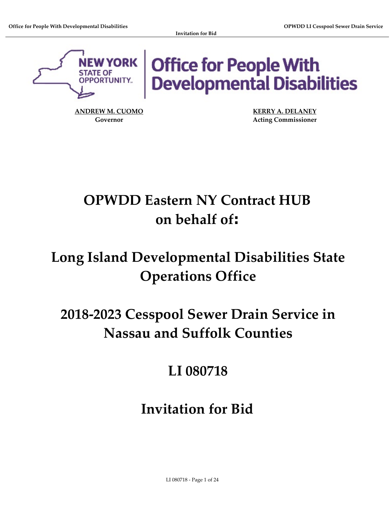

Office for People With<br>Developmental Disabilities

**ANDREW M. CUOMO KERRY A. DELANEY**

**Governor Acting Commissioner**

# **OPWDD Eastern NY Contract HUB on behalf of:**

## **Long Island Developmental Disabilities State Operations Office**

# **2018‐2023 Cesspool Sewer Drain Service in Nassau and Suffolk Counties**

## **LI 080718**

## **Invitation for Bid**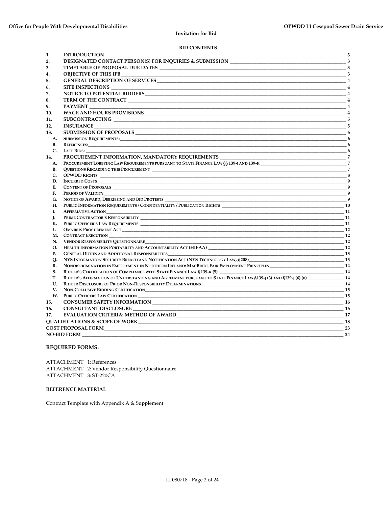#### **BID CONTENTS**

| 2.<br>3.<br>4.<br>GENERAL DESCRIPTION OF SERVICES 4<br>5.<br>SITE INSPECTIONS<br>6.<br>7.<br>8.<br><b>PAYMENT</b><br>9.<br>10.<br>11.<br>12.<br><b>INSURANCE</b><br>13.<br>A.<br><b>SUBMISSION REQUIREMENTS:</b> 6<br><b>B.</b><br>C.<br>$\overline{\phantom{a}}$ 6<br><b>LATE BIDS:</b><br>14.<br>PROCUREMENT LOBBYING LAW REQUIREMENTS PURSUANT TO STATE FINANCE LAW §§139-J AND 139-K<br>7<br>A.<br><b>B.</b><br>C.<br>OPWDD RIGHTS 2008 2012 12:00:00 2012 2013 2014 2015 2016 2017 2018 2019 2014 2016 2017 2018 2019 201<br>$\frac{1}{\sqrt{2}}$ 9<br>D.<br>E.<br>$F_{\star}$<br>PERIOD OF VALIDITY<br>G.<br>NOTICE OF AWARD, DEBRIEFING AND BID PROTESTS<br>Н.<br>L.<br>PRIME CONTRACTOR'S RESPONSIBILITY <b>And According to the CONTRACTOR'S</b> RESPONSIBILITY<br>$\frac{1}{2}$ 11<br>L.<br>К.<br><b>12</b><br>L.<br><u>12</u><br>N.<br>VENDOR RESPONSIBILITY QUESTIONNAIRE<br>HEALTH INFORMATION PORTABILITY AND ACCOUNTABILITY ACT (HIPAA) 12<br>О.<br><b>P.</b><br><b>GENERAL DUTIES AND ADDITIONAL RESPONSIBILITIES</b><br>Q.<br>NONDISCRIMINATION IN EMPLOYMENT IN NORTHERN IRELAND: MACBRIDE FAIR EMPLOYMENT PRINCIPLES<br>R.<br>S.<br>BIDDER'S CERTIFICATION OF COMPLIANCE WITH STATE FINANCE LAW § 139-K (5) ____________________________<br>$-14$<br><u> 1989 - Johann John Harry John Harry</u><br>BIDDER'S AFFIRMATION OF UNDERSTANDING AND AGREEMENT PURSUANT TO STATE FINANCE LAW §139-J (3) AND §139-J (6) (B) 14<br>T.<br>U.<br>$-14$<br>BIDDER DISCLOSURE OF PRIOR NON-RESPONSIBILITY DETERMINATIONS UNIVERSITY OF PRIOR OF PRIOR OF PRIOR NON-RESPONSIBILITY DETERMINATIONS<br>V.<br>$-15$<br>W.<br><b>CONSUMER SAFETY INFORMATION</b><br>-16<br>15.<br><b>CONSULTANT DISCLOSURE</b><br>16.<br>17.<br><b>COST PROPOSAL FORM</b><br>23<br><b>NO-BID FORM</b><br>24 | 1. | <b>INTRODUCTION</b> | $\frac{1}{\sqrt{3}}$ |  |  |
|----------------------------------------------------------------------------------------------------------------------------------------------------------------------------------------------------------------------------------------------------------------------------------------------------------------------------------------------------------------------------------------------------------------------------------------------------------------------------------------------------------------------------------------------------------------------------------------------------------------------------------------------------------------------------------------------------------------------------------------------------------------------------------------------------------------------------------------------------------------------------------------------------------------------------------------------------------------------------------------------------------------------------------------------------------------------------------------------------------------------------------------------------------------------------------------------------------------------------------------------------------------------------------------------------------------------------------------------------------------------------------------------------------------------------------------------------------------------------------------------------------------------------------------------------------------------------------------------------------------------------------------------------------------------------------------------------------------------------------------------------------------------------------------------|----|---------------------|----------------------|--|--|
|                                                                                                                                                                                                                                                                                                                                                                                                                                                                                                                                                                                                                                                                                                                                                                                                                                                                                                                                                                                                                                                                                                                                                                                                                                                                                                                                                                                                                                                                                                                                                                                                                                                                                                                                                                                              |    |                     |                      |  |  |
|                                                                                                                                                                                                                                                                                                                                                                                                                                                                                                                                                                                                                                                                                                                                                                                                                                                                                                                                                                                                                                                                                                                                                                                                                                                                                                                                                                                                                                                                                                                                                                                                                                                                                                                                                                                              |    |                     |                      |  |  |
|                                                                                                                                                                                                                                                                                                                                                                                                                                                                                                                                                                                                                                                                                                                                                                                                                                                                                                                                                                                                                                                                                                                                                                                                                                                                                                                                                                                                                                                                                                                                                                                                                                                                                                                                                                                              |    |                     |                      |  |  |
|                                                                                                                                                                                                                                                                                                                                                                                                                                                                                                                                                                                                                                                                                                                                                                                                                                                                                                                                                                                                                                                                                                                                                                                                                                                                                                                                                                                                                                                                                                                                                                                                                                                                                                                                                                                              |    |                     |                      |  |  |
|                                                                                                                                                                                                                                                                                                                                                                                                                                                                                                                                                                                                                                                                                                                                                                                                                                                                                                                                                                                                                                                                                                                                                                                                                                                                                                                                                                                                                                                                                                                                                                                                                                                                                                                                                                                              |    |                     |                      |  |  |
|                                                                                                                                                                                                                                                                                                                                                                                                                                                                                                                                                                                                                                                                                                                                                                                                                                                                                                                                                                                                                                                                                                                                                                                                                                                                                                                                                                                                                                                                                                                                                                                                                                                                                                                                                                                              |    |                     |                      |  |  |
|                                                                                                                                                                                                                                                                                                                                                                                                                                                                                                                                                                                                                                                                                                                                                                                                                                                                                                                                                                                                                                                                                                                                                                                                                                                                                                                                                                                                                                                                                                                                                                                                                                                                                                                                                                                              |    |                     |                      |  |  |
|                                                                                                                                                                                                                                                                                                                                                                                                                                                                                                                                                                                                                                                                                                                                                                                                                                                                                                                                                                                                                                                                                                                                                                                                                                                                                                                                                                                                                                                                                                                                                                                                                                                                                                                                                                                              |    |                     |                      |  |  |
|                                                                                                                                                                                                                                                                                                                                                                                                                                                                                                                                                                                                                                                                                                                                                                                                                                                                                                                                                                                                                                                                                                                                                                                                                                                                                                                                                                                                                                                                                                                                                                                                                                                                                                                                                                                              |    |                     |                      |  |  |
|                                                                                                                                                                                                                                                                                                                                                                                                                                                                                                                                                                                                                                                                                                                                                                                                                                                                                                                                                                                                                                                                                                                                                                                                                                                                                                                                                                                                                                                                                                                                                                                                                                                                                                                                                                                              |    |                     |                      |  |  |
|                                                                                                                                                                                                                                                                                                                                                                                                                                                                                                                                                                                                                                                                                                                                                                                                                                                                                                                                                                                                                                                                                                                                                                                                                                                                                                                                                                                                                                                                                                                                                                                                                                                                                                                                                                                              |    |                     |                      |  |  |
|                                                                                                                                                                                                                                                                                                                                                                                                                                                                                                                                                                                                                                                                                                                                                                                                                                                                                                                                                                                                                                                                                                                                                                                                                                                                                                                                                                                                                                                                                                                                                                                                                                                                                                                                                                                              |    |                     |                      |  |  |
|                                                                                                                                                                                                                                                                                                                                                                                                                                                                                                                                                                                                                                                                                                                                                                                                                                                                                                                                                                                                                                                                                                                                                                                                                                                                                                                                                                                                                                                                                                                                                                                                                                                                                                                                                                                              |    |                     |                      |  |  |
|                                                                                                                                                                                                                                                                                                                                                                                                                                                                                                                                                                                                                                                                                                                                                                                                                                                                                                                                                                                                                                                                                                                                                                                                                                                                                                                                                                                                                                                                                                                                                                                                                                                                                                                                                                                              |    |                     |                      |  |  |
|                                                                                                                                                                                                                                                                                                                                                                                                                                                                                                                                                                                                                                                                                                                                                                                                                                                                                                                                                                                                                                                                                                                                                                                                                                                                                                                                                                                                                                                                                                                                                                                                                                                                                                                                                                                              |    |                     |                      |  |  |
|                                                                                                                                                                                                                                                                                                                                                                                                                                                                                                                                                                                                                                                                                                                                                                                                                                                                                                                                                                                                                                                                                                                                                                                                                                                                                                                                                                                                                                                                                                                                                                                                                                                                                                                                                                                              |    |                     |                      |  |  |
|                                                                                                                                                                                                                                                                                                                                                                                                                                                                                                                                                                                                                                                                                                                                                                                                                                                                                                                                                                                                                                                                                                                                                                                                                                                                                                                                                                                                                                                                                                                                                                                                                                                                                                                                                                                              |    |                     |                      |  |  |
|                                                                                                                                                                                                                                                                                                                                                                                                                                                                                                                                                                                                                                                                                                                                                                                                                                                                                                                                                                                                                                                                                                                                                                                                                                                                                                                                                                                                                                                                                                                                                                                                                                                                                                                                                                                              |    |                     |                      |  |  |
|                                                                                                                                                                                                                                                                                                                                                                                                                                                                                                                                                                                                                                                                                                                                                                                                                                                                                                                                                                                                                                                                                                                                                                                                                                                                                                                                                                                                                                                                                                                                                                                                                                                                                                                                                                                              |    |                     |                      |  |  |
|                                                                                                                                                                                                                                                                                                                                                                                                                                                                                                                                                                                                                                                                                                                                                                                                                                                                                                                                                                                                                                                                                                                                                                                                                                                                                                                                                                                                                                                                                                                                                                                                                                                                                                                                                                                              |    |                     |                      |  |  |
|                                                                                                                                                                                                                                                                                                                                                                                                                                                                                                                                                                                                                                                                                                                                                                                                                                                                                                                                                                                                                                                                                                                                                                                                                                                                                                                                                                                                                                                                                                                                                                                                                                                                                                                                                                                              |    |                     |                      |  |  |
|                                                                                                                                                                                                                                                                                                                                                                                                                                                                                                                                                                                                                                                                                                                                                                                                                                                                                                                                                                                                                                                                                                                                                                                                                                                                                                                                                                                                                                                                                                                                                                                                                                                                                                                                                                                              |    |                     |                      |  |  |
|                                                                                                                                                                                                                                                                                                                                                                                                                                                                                                                                                                                                                                                                                                                                                                                                                                                                                                                                                                                                                                                                                                                                                                                                                                                                                                                                                                                                                                                                                                                                                                                                                                                                                                                                                                                              |    |                     |                      |  |  |
|                                                                                                                                                                                                                                                                                                                                                                                                                                                                                                                                                                                                                                                                                                                                                                                                                                                                                                                                                                                                                                                                                                                                                                                                                                                                                                                                                                                                                                                                                                                                                                                                                                                                                                                                                                                              |    |                     |                      |  |  |
|                                                                                                                                                                                                                                                                                                                                                                                                                                                                                                                                                                                                                                                                                                                                                                                                                                                                                                                                                                                                                                                                                                                                                                                                                                                                                                                                                                                                                                                                                                                                                                                                                                                                                                                                                                                              |    |                     |                      |  |  |
|                                                                                                                                                                                                                                                                                                                                                                                                                                                                                                                                                                                                                                                                                                                                                                                                                                                                                                                                                                                                                                                                                                                                                                                                                                                                                                                                                                                                                                                                                                                                                                                                                                                                                                                                                                                              |    |                     |                      |  |  |
|                                                                                                                                                                                                                                                                                                                                                                                                                                                                                                                                                                                                                                                                                                                                                                                                                                                                                                                                                                                                                                                                                                                                                                                                                                                                                                                                                                                                                                                                                                                                                                                                                                                                                                                                                                                              |    |                     |                      |  |  |
|                                                                                                                                                                                                                                                                                                                                                                                                                                                                                                                                                                                                                                                                                                                                                                                                                                                                                                                                                                                                                                                                                                                                                                                                                                                                                                                                                                                                                                                                                                                                                                                                                                                                                                                                                                                              |    |                     |                      |  |  |
|                                                                                                                                                                                                                                                                                                                                                                                                                                                                                                                                                                                                                                                                                                                                                                                                                                                                                                                                                                                                                                                                                                                                                                                                                                                                                                                                                                                                                                                                                                                                                                                                                                                                                                                                                                                              |    |                     |                      |  |  |
|                                                                                                                                                                                                                                                                                                                                                                                                                                                                                                                                                                                                                                                                                                                                                                                                                                                                                                                                                                                                                                                                                                                                                                                                                                                                                                                                                                                                                                                                                                                                                                                                                                                                                                                                                                                              |    |                     |                      |  |  |
|                                                                                                                                                                                                                                                                                                                                                                                                                                                                                                                                                                                                                                                                                                                                                                                                                                                                                                                                                                                                                                                                                                                                                                                                                                                                                                                                                                                                                                                                                                                                                                                                                                                                                                                                                                                              |    |                     |                      |  |  |
|                                                                                                                                                                                                                                                                                                                                                                                                                                                                                                                                                                                                                                                                                                                                                                                                                                                                                                                                                                                                                                                                                                                                                                                                                                                                                                                                                                                                                                                                                                                                                                                                                                                                                                                                                                                              |    |                     |                      |  |  |
|                                                                                                                                                                                                                                                                                                                                                                                                                                                                                                                                                                                                                                                                                                                                                                                                                                                                                                                                                                                                                                                                                                                                                                                                                                                                                                                                                                                                                                                                                                                                                                                                                                                                                                                                                                                              |    |                     |                      |  |  |
|                                                                                                                                                                                                                                                                                                                                                                                                                                                                                                                                                                                                                                                                                                                                                                                                                                                                                                                                                                                                                                                                                                                                                                                                                                                                                                                                                                                                                                                                                                                                                                                                                                                                                                                                                                                              |    |                     |                      |  |  |
|                                                                                                                                                                                                                                                                                                                                                                                                                                                                                                                                                                                                                                                                                                                                                                                                                                                                                                                                                                                                                                                                                                                                                                                                                                                                                                                                                                                                                                                                                                                                                                                                                                                                                                                                                                                              |    |                     |                      |  |  |
|                                                                                                                                                                                                                                                                                                                                                                                                                                                                                                                                                                                                                                                                                                                                                                                                                                                                                                                                                                                                                                                                                                                                                                                                                                                                                                                                                                                                                                                                                                                                                                                                                                                                                                                                                                                              |    |                     |                      |  |  |
|                                                                                                                                                                                                                                                                                                                                                                                                                                                                                                                                                                                                                                                                                                                                                                                                                                                                                                                                                                                                                                                                                                                                                                                                                                                                                                                                                                                                                                                                                                                                                                                                                                                                                                                                                                                              |    |                     |                      |  |  |
|                                                                                                                                                                                                                                                                                                                                                                                                                                                                                                                                                                                                                                                                                                                                                                                                                                                                                                                                                                                                                                                                                                                                                                                                                                                                                                                                                                                                                                                                                                                                                                                                                                                                                                                                                                                              |    |                     |                      |  |  |
|                                                                                                                                                                                                                                                                                                                                                                                                                                                                                                                                                                                                                                                                                                                                                                                                                                                                                                                                                                                                                                                                                                                                                                                                                                                                                                                                                                                                                                                                                                                                                                                                                                                                                                                                                                                              |    |                     |                      |  |  |
|                                                                                                                                                                                                                                                                                                                                                                                                                                                                                                                                                                                                                                                                                                                                                                                                                                                                                                                                                                                                                                                                                                                                                                                                                                                                                                                                                                                                                                                                                                                                                                                                                                                                                                                                                                                              |    |                     |                      |  |  |
|                                                                                                                                                                                                                                                                                                                                                                                                                                                                                                                                                                                                                                                                                                                                                                                                                                                                                                                                                                                                                                                                                                                                                                                                                                                                                                                                                                                                                                                                                                                                                                                                                                                                                                                                                                                              |    |                     |                      |  |  |
|                                                                                                                                                                                                                                                                                                                                                                                                                                                                                                                                                                                                                                                                                                                                                                                                                                                                                                                                                                                                                                                                                                                                                                                                                                                                                                                                                                                                                                                                                                                                                                                                                                                                                                                                                                                              |    |                     |                      |  |  |
|                                                                                                                                                                                                                                                                                                                                                                                                                                                                                                                                                                                                                                                                                                                                                                                                                                                                                                                                                                                                                                                                                                                                                                                                                                                                                                                                                                                                                                                                                                                                                                                                                                                                                                                                                                                              |    |                     |                      |  |  |
|                                                                                                                                                                                                                                                                                                                                                                                                                                                                                                                                                                                                                                                                                                                                                                                                                                                                                                                                                                                                                                                                                                                                                                                                                                                                                                                                                                                                                                                                                                                                                                                                                                                                                                                                                                                              |    |                     |                      |  |  |
|                                                                                                                                                                                                                                                                                                                                                                                                                                                                                                                                                                                                                                                                                                                                                                                                                                                                                                                                                                                                                                                                                                                                                                                                                                                                                                                                                                                                                                                                                                                                                                                                                                                                                                                                                                                              |    |                     |                      |  |  |

#### **REQUIRED FORMS:**

ATTACHMENT 1: References ATTACHMENT 2: Vendor Responsibility Questionnaire ATTACHMENT 3: ST‐220CA

#### **REFERENCE MATERIAL**

Contract Template with Appendix A & Supplement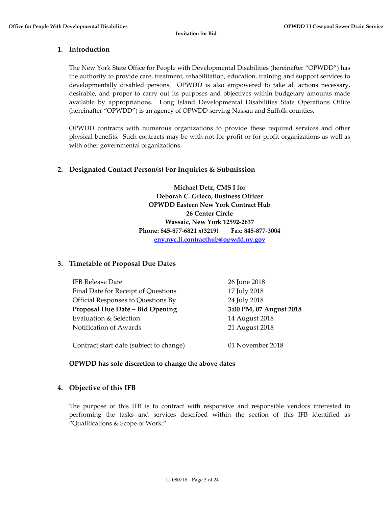#### **1. Introduction**

The New York State Office for People with Developmental Disabilities (hereinafter "OPWDD") has the authority to provide care, treatment, rehabilitation, education, training and support services to developmentally disabled persons. OPWDD is also empowered to take all actions necessary, desirable, and proper to carry out its purposes and objectives within budgetary amounts made available by appropriations. Long Island Developmental Disabilities State Operations Office (hereinafter "OPWDD") is an agency of OPWDD serving Nassau and Suffolk counties.

OPWDD contracts with numerous organizations to provide these required services and other physical benefits. Such contracts may be with not-for-profit or for-profit organizations as well as with other governmental organizations.

#### **2. Designated Contact Person(s) For Inquiries & Submission**

**Michael Detz, CMS I for Deborah C. Grieco, Business Officer OPWDD Eastern New York Contract Hub 26 Center Circle Wassaic, New York 12592‐2637 Phone: 845‐877‐6821 x(3219) Fax: 845‐877‐3004 eny.nyc.li.contracthub@opwdd.ny.gov**

#### **3. Timetable of Proposal Due Dates**

| <b>IFB Release Date</b>                 | 26 June 2018            |
|-----------------------------------------|-------------------------|
| Final Date for Receipt of Questions     | 17 July 2018            |
| Official Responses to Questions By      | 24 July 2018            |
| Proposal Due Date - Bid Opening         | 3:00 PM, 07 August 2018 |
| Evaluation & Selection                  | 14 August 2018          |
| Notification of Awards                  | 21 August 2018          |
|                                         |                         |
| Contract start date (subject to change) | 01 November 2018        |

#### **OPWDD has sole discretion to change the above dates**

#### **4. Objective of this IFB**

The purpose of this IFB is to contract with responsive and responsible vendors interested in performing the tasks and services described within the section of this IFB identified as "Qualifications & Scope of Work."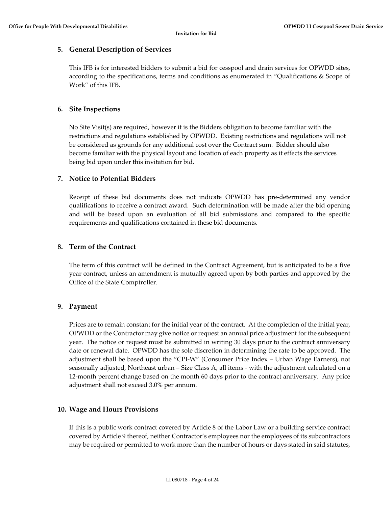#### **5. General Description of Services**

This IFB is for interested bidders to submit a bid for cesspool and drain services for OPWDD sites, according to the specifications, terms and conditions as enumerated in "Qualifications & Scope of Work" of this IFB.

#### **6. Site Inspections**

No Site Visit(s) are required, however it is the Bidders obligation to become familiar with the restrictions and regulations established by OPWDD. Existing restrictions and regulations will not be considered as grounds for any additional cost over the Contract sum. Bidder should also become familiar with the physical layout and location of each property as it effects the services being bid upon under this invitation for bid.

#### **7. Notice to Potential Bidders**

Receipt of these bid documents does not indicate OPWDD has pre‐determined any vendor qualifications to receive a contract award. Such determination will be made after the bid opening and will be based upon an evaluation of all bid submissions and compared to the specific requirements and qualifications contained in these bid documents.

#### **8. Term of the Contract**

The term of this contract will be defined in the Contract Agreement, but is anticipated to be a five year contract, unless an amendment is mutually agreed upon by both parties and approved by the Office of the State Comptroller.

#### **9. Payment**

Prices are to remain constant for the initial year of the contract. At the completion of the initial year, OPWDD or the Contractor may give notice or request an annual price adjustment for the subsequent year. The notice or request must be submitted in writing 30 days prior to the contract anniversary date or renewal date. OPWDD has the sole discretion in determining the rate to be approved. The adjustment shall be based upon the "CPI‐W" (Consumer Price Index – Urban Wage Earners), not seasonally adjusted, Northeast urban – Size Class A, all items - with the adjustment calculated on a 12-month percent change based on the month 60 days prior to the contract anniversary. Any price adjustment shall not exceed 3.0% per annum.

#### **10. Wage and Hours Provisions**

If this is a public work contract covered by Article 8 of the Labor Law or a building service contract covered by Article 9 thereof, neither Contractor's employees nor the employees of its subcontractors may be required or permitted to work more than the number of hours or days stated in said statutes,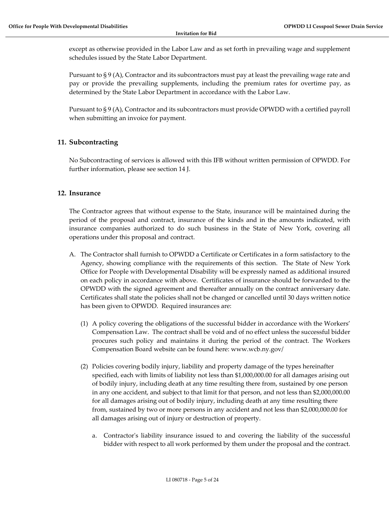except as otherwise provided in the Labor Law and as set forth in prevailing wage and supplement schedules issued by the State Labor Department.

Pursuant to § 9 (A), Contractor and its subcontractors must pay at least the prevailing wage rate and pay or provide the prevailing supplements, including the premium rates for overtime pay, as determined by the State Labor Department in accordance with the Labor Law.

Pursuant to § 9 (A), Contractor and its subcontractors must provide OPWDD with a certified payroll when submitting an invoice for payment.

#### **11. Subcontracting**

No Subcontracting of services is allowed with this IFB without written permission of OPWDD. For further information, please see section 14 J.

#### **12. Insurance**

The Contractor agrees that without expense to the State, insurance will be maintained during the period of the proposal and contract, insurance of the kinds and in the amounts indicated, with insurance companies authorized to do such business in the State of New York, covering all operations under this proposal and contract.

- A. The Contractor shall furnish to OPWDD a Certificate or Certificates in a form satisfactory to the Agency, showing compliance with the requirements of this section. The State of New York Office for People with Developmental Disability will be expressly named as additional insured on each policy in accordance with above. Certificates of insurance should be forwarded to the OPWDD with the signed agreement and thereafter annually on the contract anniversary date. Certificates shall state the policies shall not be changed or cancelled until 30 days written notice has been given to OPWDD. Required insurances are:
	- (1) A policy covering the obligations of the successful bidder in accordance with the Workers' Compensation Law. The contract shall be void and of no effect unless the successful bidder procures such policy and maintains it during the period of the contract. The Workers Compensation Board website can be found here: www.wcb.ny.gov/
	- (2) Policies covering bodily injury, liability and property damage of the types hereinafter specified, each with limits of liability not less than \$1,000,000.00 for all damages arising out of bodily injury, including death at any time resulting there from, sustained by one person in any one accident, and subject to that limit for that person, and not less than \$2,000,000.00 for all damages arising out of bodily injury, including death at any time resulting there from, sustained by two or more persons in any accident and not less than \$2,000,000.00 for all damages arising out of injury or destruction of property.
		- a. Contractor's liability insurance issued to and covering the liability of the successful bidder with respect to all work performed by them under the proposal and the contract.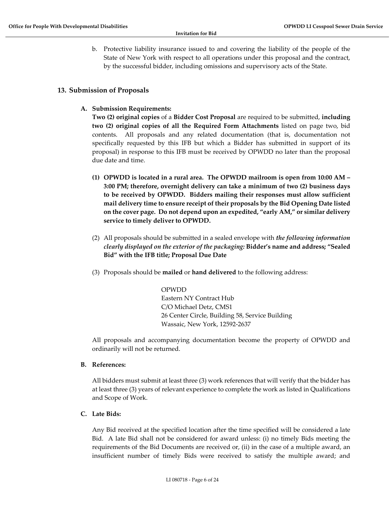b. Protective liability insurance issued to and covering the liability of the people of the State of New York with respect to all operations under this proposal and the contract, by the successful bidder, including omissions and supervisory acts of the State.

#### **13. Submission of Proposals**

**A. Submission Requirements:**

**Two (2) original copies** of a **Bidder Cost Proposal** are required to be submitted, **including two (2) original copies of all the Required Form Attachments** listed on page two, bid contents. All proposals and any related documentation (that is, documentation not specifically requested by this IFB but which a Bidder has submitted in support of its proposal) in response to this IFB must be received by OPWDD no later than the proposal due date and time.

- **(1) OPWDD is located in a rural area. The OPWDD mailroom is open from 10:00 AM – 3:00 PM; therefore, overnight delivery can take a minimum of two (2) business days to be received by OPWDD. Bidders mailing their responses must allow sufficient mail delivery time to ensure receipt of their proposals by the Bid Opening Date listed on the cover page. Do not depend upon an expedited, "early AM," or similar delivery service to timely deliver to OPWDD.**
- (2) All proposals should be submitted in a sealed envelope with *the following information clearly displayed on the exterior of the packaging:* **Bidder's name and address; "Sealed Bid" with the IFB title; Proposal Due Date**
- (3) Proposals should be **mailed** or **hand delivered** to the following address:

OPWDD Eastern NY Contract Hub C/O Michael Detz, CMS1 26 Center Circle, Building 58, Service Building Wassaic, New York, 12592‐2637

All proposals and accompanying documentation become the property of OPWDD and ordinarily will not be returned.

**B. References:**

All bidders must submit at least three (3) work references that will verify that the bidder has at least three (3) years of relevant experience to complete the work as listed in Qualifications and Scope of Work.

**C. Late Bids:**

Any Bid received at the specified location after the time specified will be considered a late Bid. A late Bid shall not be considered for award unless: (i) no timely Bids meeting the requirements of the Bid Documents are received or, (ii) in the case of a multiple award, an insufficient number of timely Bids were received to satisfy the multiple award; and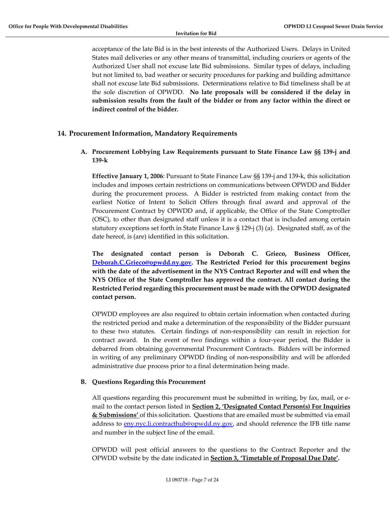acceptance of the late Bid is in the best interests of the Authorized Users. Delays in United States mail deliveries or any other means of transmittal, including couriers or agents of the Authorized User shall not excuse late Bid submissions. Similar types of delays, including but not limited to, bad weather or security procedures for parking and building admittance shall not excuse late Bid submissions. Determinations relative to Bid timeliness shall be at the sole discretion of OPWDD. **No late proposals will be considered if the delay in submission results from the fault of the bidder or from any factor within the direct or indirect control of the bidder.**

#### **14. Procurement Information, Mandatory Requirements**

#### **A. Procurement Lobbying Law Requirements pursuant to State Finance Law §§ 139‐j and 139‐k**

**Effective January 1, 2006**: Pursuant to State Finance Law §§ 139‐j and 139‐k, this solicitation includes and imposes certain restrictions on communications between OPWDD and Bidder during the procurement process. A Bidder is restricted from making contact from the earliest Notice of Intent to Solicit Offers through final award and approval of the Procurement Contract by OPWDD and, if applicable, the Office of the State Comptroller (OSC), to other than designated staff unless it is a contact that is included among certain statutory exceptions set forth in State Finance Law § 129‐j (3) (a). Designated staff, as of the date hereof, is (are) identified in this solicitation.

**The designated contact person is Deborah C. Grieco, Business Officer, Deborah.C.Grieco@opwdd.ny.gov. The Restricted Period for this procurement begins with the date of the advertisement in the NYS Contract Reporter and will end when the NYS Office of the State Comptroller has approved the contract. All contact during the Restricted Period regarding this procurement must be made with the OPWDD designated contact person.** 

OPWDD employees are also required to obtain certain information when contacted during the restricted period and make a determination of the responsibility of the Bidder pursuant to these two statutes. Certain findings of non-responsibility can result in rejection for contract award. In the event of two findings within a four-year period, the Bidder is debarred from obtaining governmental Procurement Contracts. Bidders will be informed in writing of any preliminary OPWDD finding of non-responsibility and will be afforded administrative due process prior to a final determination being made.

#### **B. Questions Regarding this Procurement**

All questions regarding this procurement must be submitted in writing, by fax, mail, or e‐ mail to the contact person listed in **Section 2, 'Designated Contact Person(s) For Inquiries & Submissions'** of this solicitation. Questions that are emailed must be submitted via email address to eny.nyc.li.contracthub@opwdd.ny.gov, and should reference the IFB title name and number in the subject line of the email.

OPWDD will post official answers to the questions to the Contract Reporter and the OPWDD website by the date indicated in **Section 3, 'Timetable of Proposal Due Date'.**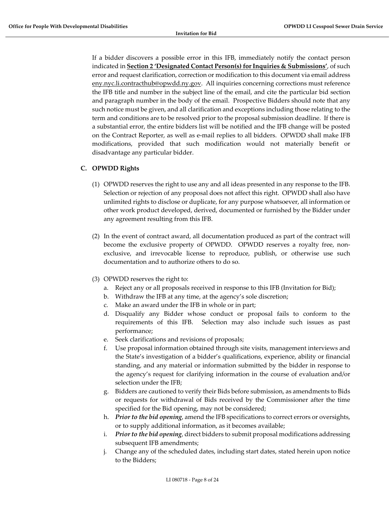If a bidder discovers a possible error in this IFB, immediately notify the contact person indicated in **Section 2 'Designated Contact Person(s) for Inquiries & Submissions'**, of such error and request clarification, correction or modification to this document via email address eny.nyc.li.contracthub@opwdd.ny.gov. All inquiries concerning corrections must reference the IFB title and number in the subject line of the email, and cite the particular bid section and paragraph number in the body of the email. Prospective Bidders should note that any such notice must be given, and all clarification and exceptions including those relating to the term and conditions are to be resolved prior to the proposal submission deadline. If there is a substantial error, the entire bidders list will be notified and the IFB change will be posted on the Contract Reporter, as well as e‐mail replies to all bidders. OPWDD shall make IFB modifications, provided that such modification would not materially benefit or disadvantage any particular bidder.

#### **C. OPWDD Rights**

- (1) OPWDD reserves the right to use any and all ideas presented in any response to the IFB. Selection or rejection of any proposal does not affect this right. OPWDD shall also have unlimited rights to disclose or duplicate, for any purpose whatsoever, all information or other work product developed, derived, documented or furnished by the Bidder under any agreement resulting from this IFB.
- (2) In the event of contract award, all documentation produced as part of the contract will become the exclusive property of OPWDD. OPWDD reserves a royalty free, nonexclusive, and irrevocable license to reproduce, publish, or otherwise use such documentation and to authorize others to do so.
- (3) OPWDD reserves the right to:
	- a. Reject any or all proposals received in response to this IFB (Invitation for Bid);
	- b. Withdraw the IFB at any time, at the agency's sole discretion;
	- c. Make an award under the IFB in whole or in part;
	- d. Disqualify any Bidder whose conduct or proposal fails to conform to the requirements of this IFB. Selection may also include such issues as past performance;
	- e. Seek clarifications and revisions of proposals;
	- f. Use proposal information obtained through site visits, management interviews and the State's investigation of a bidder's qualifications, experience, ability or financial standing, and any material or information submitted by the bidder in response to the agency's request for clarifying information in the course of evaluation and/or selection under the IFB;
	- g. Bidders are cautioned to verify their Bids before submission, as amendments to Bids or requests for withdrawal of Bids received by the Commissioner after the time specified for the Bid opening, may not be considered;
	- h. *Prior to the bid opening*, amend the IFB specifications to correct errors or oversights, or to supply additional information, as it becomes available;
	- i. *Prior to the bid opening*, direct bidders to submit proposal modifications addressing subsequent IFB amendments;
	- j. Change any of the scheduled dates, including start dates, stated herein upon notice to the Bidders;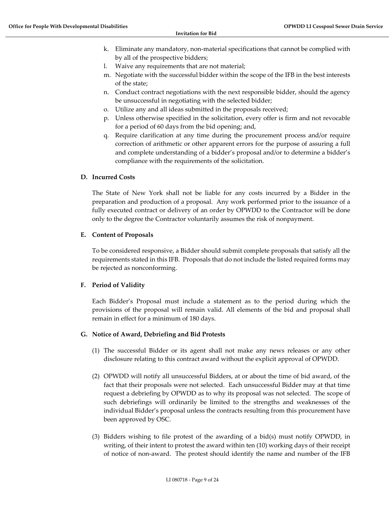- k. Eliminate any mandatory, non‐material specifications that cannot be complied with by all of the prospective bidders;
- l. Waive any requirements that are not material;
- m. Negotiate with the successful bidder within the scope of the IFB in the best interests of the state;
- n. Conduct contract negotiations with the next responsible bidder, should the agency be unsuccessful in negotiating with the selected bidder;
- o. Utilize any and all ideas submitted in the proposals received;
- p. Unless otherwise specified in the solicitation, every offer is firm and not revocable for a period of 60 days from the bid opening; and,
- q. Require clarification at any time during the procurement process and/or require correction of arithmetic or other apparent errors for the purpose of assuring a full and complete understanding of a bidder's proposal and/or to determine a bidder's compliance with the requirements of the solicitation.

#### **D. Incurred Costs**

The State of New York shall not be liable for any costs incurred by a Bidder in the preparation and production of a proposal. Any work performed prior to the issuance of a fully executed contract or delivery of an order by OPWDD to the Contractor will be done only to the degree the Contractor voluntarily assumes the risk of nonpayment.

#### **E. Content of Proposals**

To be considered responsive, a Bidder should submit complete proposals that satisfy all the requirements stated in this IFB. Proposals that do not include the listed required forms may be rejected as nonconforming.

#### **F. Period of Validity**

Each Bidder's Proposal must include a statement as to the period during which the provisions of the proposal will remain valid. All elements of the bid and proposal shall remain in effect for a minimum of 180 days.

#### **G. Notice of Award, Debriefing and Bid Protests**

- (1) The successful Bidder or its agent shall not make any news releases or any other disclosure relating to this contract award without the explicit approval of OPWDD.
- (2) OPWDD will notify all unsuccessful Bidders, at or about the time of bid award, of the fact that their proposals were not selected. Each unsuccessful Bidder may at that time request a debriefing by OPWDD as to why its proposal was not selected. The scope of such debriefings will ordinarily be limited to the strengths and weaknesses of the individual Bidder's proposal unless the contracts resulting from this procurement have been approved by OSC.
- (3) Bidders wishing to file protest of the awarding of a bid(s) must notify OPWDD, in writing, of their intent to protest the award within ten (10) working days of their receipt of notice of non‐award. The protest should identify the name and number of the IFB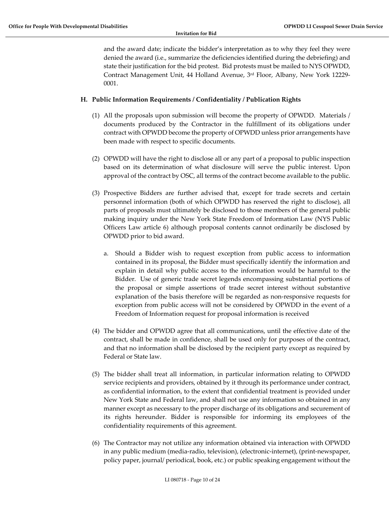and the award date; indicate the bidder's interpretation as to why they feel they were denied the award (i.e., summarize the deficiencies identified during the debriefing) and state their justification for the bid protest. Bid protests must be mailed to NYS OPWDD, Contract Management Unit, 44 Holland Avenue, 3rd Floor, Albany, New York 12229‐ 0001.

#### **H. Public Information Requirements / Confidentiality / Publication Rights**

- (1) All the proposals upon submission will become the property of OPWDD. Materials / documents produced by the Contractor in the fulfillment of its obligations under contract with OPWDD become the property of OPWDD unless prior arrangements have been made with respect to specific documents.
- (2) OPWDD will have the right to disclose all or any part of a proposal to public inspection based on its determination of what disclosure will serve the public interest. Upon approval of the contract by OSC, all terms of the contract become available to the public.
- (3) Prospective Bidders are further advised that, except for trade secrets and certain personnel information (both of which OPWDD has reserved the right to disclose), all parts of proposals must ultimately be disclosed to those members of the general public making inquiry under the New York State Freedom of Information Law (NYS Public Officers Law article 6) although proposal contents cannot ordinarily be disclosed by OPWDD prior to bid award.
	- a. Should a Bidder wish to request exception from public access to information contained in its proposal, the Bidder must specifically identify the information and explain in detail why public access to the information would be harmful to the Bidder. Use of generic trade secret legends encompassing substantial portions of the proposal or simple assertions of trade secret interest without substantive explanation of the basis therefore will be regarded as non-responsive requests for exception from public access will not be considered by OPWDD in the event of a Freedom of Information request for proposal information is received
- (4) The bidder and OPWDD agree that all communications, until the effective date of the contract, shall be made in confidence, shall be used only for purposes of the contract, and that no information shall be disclosed by the recipient party except as required by Federal or State law.
- (5) The bidder shall treat all information, in particular information relating to OPWDD service recipients and providers, obtained by it through its performance under contract, as confidential information, to the extent that confidential treatment is provided under New York State and Federal law, and shall not use any information so obtained in any manner except as necessary to the proper discharge of its obligations and securement of its rights hereunder. Bidder is responsible for informing its employees of the confidentiality requirements of this agreement.
- (6) The Contractor may not utilize any information obtained via interaction with OPWDD in any public medium (media‐radio, television), (electronic‐internet), (print‐newspaper, policy paper, journal/ periodical, book, etc.) or public speaking engagement without the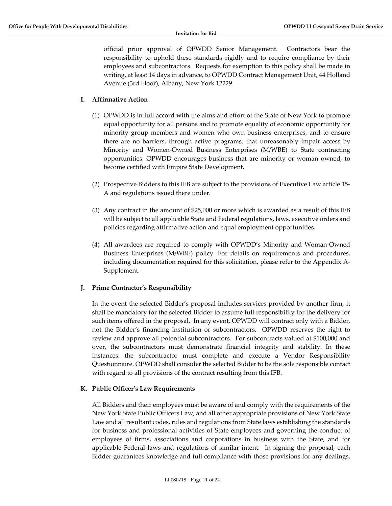official prior approval of OPWDD Senior Management. Contractors bear the responsibility to uphold these standards rigidly and to require compliance by their employees and subcontractors. Requests for exemption to this policy shall be made in writing, at least 14 days in advance, to OPWDD Contract Management Unit, 44 Holland Avenue (3rd Floor), Albany, New York 12229.

#### **I. Affirmative Action**

- (1) OPWDD is in full accord with the aims and effort of the State of New York to promote equal opportunity for all persons and to promote equality of economic opportunity for minority group members and women who own business enterprises, and to ensure there are no barriers, through active programs, that unreasonably impair access by Minority and Women‐Owned Business Enterprises (M/WBE) to State contracting opportunities. OPWDD encourages business that are minority or woman owned, to become certified with Empire State Development.
- (2) Prospective Bidders to this IFB are subject to the provisions of Executive Law article 15‐ A and regulations issued there under.
- (3) Any contract in the amount of \$25,000 or more which is awarded as a result of this IFB will be subject to all applicable State and Federal regulations, laws, executive orders and policies regarding affirmative action and equal employment opportunities.
- (4) All awardees are required to comply with OPWDD's Minority and Woman‐Owned Business Enterprises (M/WBE) policy. For details on requirements and procedures, including documentation required for this solicitation, please refer to the Appendix A‐ Supplement.

#### **J. Prime Contractor's Responsibility**

In the event the selected Bidder's proposal includes services provided by another firm, it shall be mandatory for the selected Bidder to assume full responsibility for the delivery for such items offered in the proposal. In any event, OPWDD will contract only with a Bidder, not the Bidder's financing institution or subcontractors. OPWDD reserves the right to review and approve all potential subcontractors. For subcontracts valued at \$100,000 and over, the subcontractors must demonstrate financial integrity and stability. In these instances, the subcontractor must complete and execute a Vendor Responsibility Questionnaire. OPWDD shall consider the selected Bidder to be the sole responsible contact with regard to all provisions of the contract resulting from this IFB.

#### **K. Public Officer's Law Requirements**

All Bidders and their employees must be aware of and comply with the requirements of the New York State Public Officers Law, and all other appropriate provisions of New York State Law and all resultant codes, rules and regulations from State laws establishing the standards for business and professional activities of State employees and governing the conduct of employees of firms, associations and corporations in business with the State, and for applicable Federal laws and regulations of similar intent. In signing the proposal, each Bidder guarantees knowledge and full compliance with those provisions for any dealings,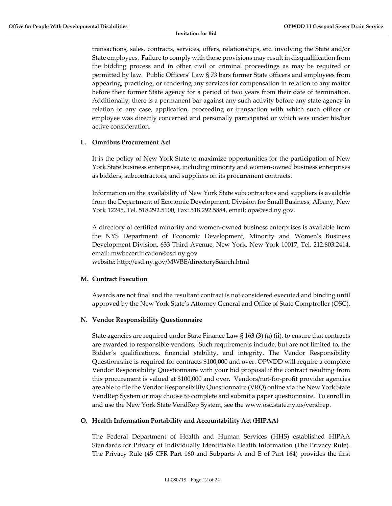transactions, sales, contracts, services, offers, relationships, etc. involving the State and/or State employees. Failure to comply with those provisions may result in disqualification from the bidding process and in other civil or criminal proceedings as may be required or permitted by law. Public Officers' Law § 73 bars former State officers and employees from appearing, practicing, or rendering any services for compensation in relation to any matter before their former State agency for a period of two years from their date of termination. Additionally, there is a permanent bar against any such activity before any state agency in relation to any case, application, proceeding or transaction with which such officer or employee was directly concerned and personally participated or which was under his/her active consideration.

#### **L. Omnibus Procurement Act**

It is the policy of New York State to maximize opportunities for the participation of New York State business enterprises, including minority and women-owned business enterprises as bidders, subcontractors, and suppliers on its procurement contracts.

Information on the availability of New York State subcontractors and suppliers is available from the Department of Economic Development, Division for Small Business, Albany, New York 12245, Tel. 518.292.5100, Fax: 518.292.5884, email: opa@esd.ny.gov.

A directory of certified minority and women‐owned business enterprises is available from the NYS Department of Economic Development, Minority and Womenʹs Business Development Division, 633 Third Avenue, New York, New York 10017, Tel. 212.803.2414, email: mwbecertification@esd.ny.gov

website: http://esd.ny.gov/MWBE/directorySearch.html

#### **M. Contract Execution**

Awards are not final and the resultant contract is not considered executed and binding until approved by the New York State's Attorney General and Office of State Comptroller (OSC).

#### **N. Vendor Responsibility Questionnaire**

State agencies are required under State Finance Law § 163 (3) (a) (ii), to ensure that contracts are awarded to responsible vendors. Such requirements include, but are not limited to, the Bidder's qualifications, financial stability, and integrity. The Vendor Responsibility Questionnaire is required for contracts \$100,000 and over. OPWDD will require a complete Vendor Responsibility Questionnaire with your bid proposal if the contract resulting from this procurement is valued at \$100,000 and over. Vendors/not-for-profit provider agencies are able to file the Vendor Responsibility Questionnaire (VRQ) online via the New York State VendRep System or may choose to complete and submit a paper questionnaire. To enroll in and use the New York State VendRep System, see the www.osc.state.ny.us/vendrep.

#### **O. Health Information Portability and Accountability Act (HIPAA)**

The Federal Department of Health and Human Services (HHS) established HIPAA Standards for Privacy of Individually Identifiable Health Information (The Privacy Rule). The Privacy Rule (45 CFR Part 160 and Subparts A and E of Part 164) provides the first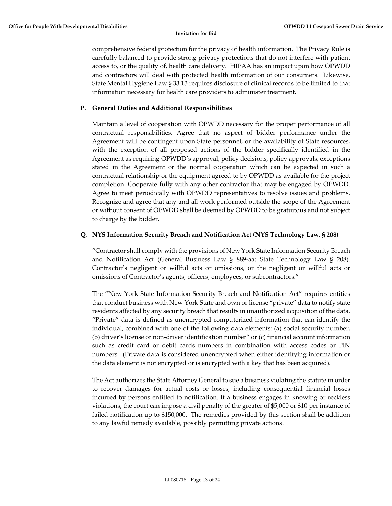comprehensive federal protection for the privacy of health information. The Privacy Rule is carefully balanced to provide strong privacy protections that do not interfere with patient access to, or the quality of, health care delivery. HIPAA has an impact upon how OPWDD and contractors will deal with protected health information of our consumers. Likewise, State Mental Hygiene Law § 33.13 requires disclosure of clinical records to be limited to that information necessary for health care providers to administer treatment.

#### **P. General Duties and Additional Responsibilities**

Maintain a level of cooperation with OPWDD necessary for the proper performance of all contractual responsibilities. Agree that no aspect of bidder performance under the Agreement will be contingent upon State personnel, or the availability of State resources, with the exception of all proposed actions of the bidder specifically identified in the Agreement as requiring OPWDD's approval, policy decisions, policy approvals, exceptions stated in the Agreement or the normal cooperation which can be expected in such a contractual relationship or the equipment agreed to by OPWDD as available for the project completion. Cooperate fully with any other contractor that may be engaged by OPWDD. Agree to meet periodically with OPWDD representatives to resolve issues and problems. Recognize and agree that any and all work performed outside the scope of the Agreement or without consent of OPWDD shall be deemed by OPWDD to be gratuitous and not subject to charge by the bidder.

#### **Q. NYS Information Security Breach and Notification Act (NYS Technology Law, § 208)**

"Contractor shall comply with the provisions of New York State Information Security Breach and Notification Act (General Business Law § 889‐aa; State Technology Law § 208). Contractor's negligent or willful acts or omissions, or the negligent or willful acts or omissions of Contractor's agents, officers, employees, or subcontractors."

The "New York State Information Security Breach and Notification Act" requires entities that conduct business with New York State and own or license "private" data to notify state residents affected by any security breach that results in unauthorized acquisition of the data. "Private" data is defined as unencrypted computerized information that can identify the individual, combined with one of the following data elements: (a) social security number, (b) driver's license or non‐driver identification number" or (c) financial account information such as credit card or debit cards numbers in combination with access codes or PIN numbers. (Private data is considered unencrypted when either identifying information or the data element is not encrypted or is encrypted with a key that has been acquired).

The Act authorizes the State Attorney General to sue a business violating the statute in order to recover damages for actual costs or losses, including consequential financial losses incurred by persons entitled to notification. If a business engages in knowing or reckless violations, the court can impose a civil penalty of the greater of \$5,000 or \$10 per instance of failed notification up to \$150,000. The remedies provided by this section shall be addition to any lawful remedy available, possibly permitting private actions.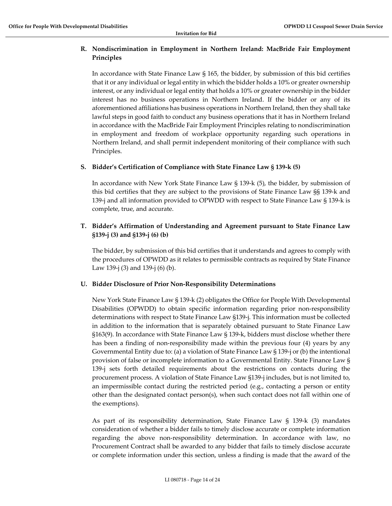#### **R. Nondiscrimination in Employment in Northern Ireland: MacBride Fair Employment Principles**

In accordance with State Finance Law § 165, the bidder, by submission of this bid certifies that it or any individual or legal entity in which the bidder holds a 10% or greater ownership interest, or any individual or legal entity that holds a 10% or greater ownership in the bidder interest has no business operations in Northern Ireland. If the bidder or any of its aforementioned affiliations has business operations in Northern Ireland, then they shall take lawful steps in good faith to conduct any business operations that it has in Northern Ireland in accordance with the MacBride Fair Employment Principles relating to nondiscrimination in employment and freedom of workplace opportunity regarding such operations in Northern Ireland, and shall permit independent monitoring of their compliance with such Principles.

#### **S. Bidder's Certification of Compliance with State Finance Law § 139‐k (5)**

In accordance with New York State Finance Law  $\S$  139-k (5), the bidder, by submission of this bid certifies that they are subject to the provisions of State Finance Law §§ 139‐k and 139‐j and all information provided to OPWDD with respect to State Finance Law § 139‐k is complete, true, and accurate.

#### **T. Bidder's Affirmation of Understanding and Agreement pursuant to State Finance Law §139‐j (3) and §139‐j (6) (b)**

The bidder, by submission of this bid certifies that it understands and agrees to comply with the procedures of OPWDD as it relates to permissible contracts as required by State Finance Law 139‐j (3) and 139‐j (6) (b).

#### **U. Bidder Disclosure of Prior Non‐Responsibility Determinations**

New York State Finance Law § 139‐k (2) obligates the Office for People With Developmental Disabilities (OPWDD) to obtain specific information regarding prior non-responsibility determinations with respect to State Finance Law §139‐j. This information must be collected in addition to the information that is separately obtained pursuant to State Finance Law §163(9). In accordance with State Finance Law § 139‐k, bidders must disclose whether there has been a finding of non-responsibility made within the previous four (4) years by any Governmental Entity due to: (a) a violation of State Finance Law § 139‐j or (b) the intentional provision of false or incomplete information to a Governmental Entity. State Finance Law § 139‐j sets forth detailed requirements about the restrictions on contacts during the procurement process. A violation of State Finance Law §139‐j includes, but is not limited to, an impermissible contact during the restricted period (e.g., contacting a person or entity other than the designated contact person(s), when such contact does not fall within one of the exemptions).

As part of its responsibility determination, State Finance Law § 139‐k (3) mandates consideration of whether a bidder fails to timely disclose accurate or complete information regarding the above non-responsibility determination. In accordance with law, no Procurement Contract shall be awarded to any bidder that fails to timely disclose accurate or complete information under this section, unless a finding is made that the award of the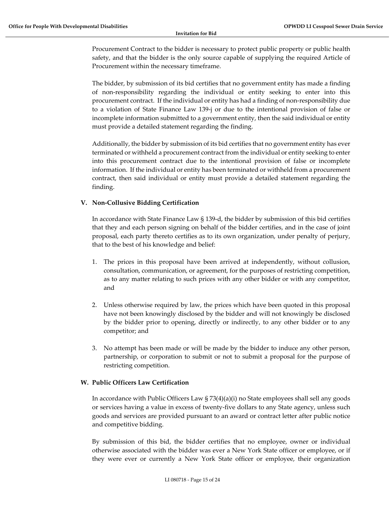Procurement Contract to the bidder is necessary to protect public property or public health safety, and that the bidder is the only source capable of supplying the required Article of Procurement within the necessary timeframe.

The bidder, by submission of its bid certifies that no government entity has made a finding of non‐responsibility regarding the individual or entity seeking to enter into this procurement contract. If the individual or entity has had a finding of non‐responsibility due to a violation of State Finance Law 139‐j or due to the intentional provision of false or incomplete information submitted to a government entity, then the said individual or entity must provide a detailed statement regarding the finding.

Additionally, the bidder by submission of its bid certifies that no government entity has ever terminated or withheld a procurement contract from the individual or entity seeking to enter into this procurement contract due to the intentional provision of false or incomplete information. If the individual or entity has been terminated or withheld from a procurement contract, then said individual or entity must provide a detailed statement regarding the finding.

#### **V. Non‐Collusive Bidding Certification**

In accordance with State Finance Law § 139‐d, the bidder by submission of this bid certifies that they and each person signing on behalf of the bidder certifies, and in the case of joint proposal, each party thereto certifies as to its own organization, under penalty of perjury, that to the best of his knowledge and belief:

- 1. The prices in this proposal have been arrived at independently, without collusion, consultation, communication, or agreement, for the purposes of restricting competition, as to any matter relating to such prices with any other bidder or with any competitor, and
- 2. Unless otherwise required by law, the prices which have been quoted in this proposal have not been knowingly disclosed by the bidder and will not knowingly be disclosed by the bidder prior to opening, directly or indirectly, to any other bidder or to any competitor; and
- 3. No attempt has been made or will be made by the bidder to induce any other person, partnership, or corporation to submit or not to submit a proposal for the purpose of restricting competition.

#### **W. Public Officers Law Certification**

In accordance with Public Officers Law  $\S$  73(4)(a)(i) no State employees shall sell any goods or services having a value in excess of twenty‐five dollars to any State agency, unless such goods and services are provided pursuant to an award or contract letter after public notice and competitive bidding.

By submission of this bid, the bidder certifies that no employee, owner or individual otherwise associated with the bidder was ever a New York State officer or employee, or if they were ever or currently a New York State officer or employee, their organization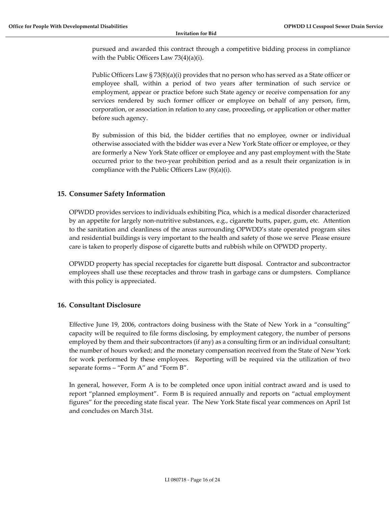pursued and awarded this contract through a competitive bidding process in compliance with the Public Officers Law 73(4)(a)(i).

Public Officers Law §  $73(8)(a)(i)$  provides that no person who has served as a State officer or employee shall, within a period of two years after termination of such service or employment, appear or practice before such State agency or receive compensation for any services rendered by such former officer or employee on behalf of any person, firm, corporation, or association in relation to any case, proceeding, or application or other matter before such agency.

By submission of this bid, the bidder certifies that no employee, owner or individual otherwise associated with the bidder was ever a New York State officer or employee, or they are formerly a New York State officer or employee and any past employment with the State occurred prior to the two‐year prohibition period and as a result their organization is in compliance with the Public Officers Law (8)(a)(i).

#### **15. Consumer Safety Information**

OPWDD provides services to individuals exhibiting Pica, which is a medical disorder characterized by an appetite for largely non‐nutritive substances, e.g., cigarette butts, paper, gum, etc. Attention to the sanitation and cleanliness of the areas surrounding OPWDD's state operated program sites and residential buildings is very important to the health and safety of those we serve Please ensure care is taken to properly dispose of cigarette butts and rubbish while on OPWDD property.

OPWDD property has special receptacles for cigarette butt disposal. Contractor and subcontractor employees shall use these receptacles and throw trash in garbage cans or dumpsters. Compliance with this policy is appreciated.

#### **16. Consultant Disclosure**

Effective June 19, 2006, contractors doing business with the State of New York in a "consulting" capacity will be required to file forms disclosing, by employment category, the number of persons employed by them and their subcontractors (if any) as a consulting firm or an individual consultant; the number of hours worked; and the monetary compensation received from the State of New York for work performed by these employees. Reporting will be required via the utilization of two separate forms – "Form A" and "Form B".

In general, however, Form A is to be completed once upon initial contract award and is used to report "planned employment". Form B is required annually and reports on "actual employment figures" for the preceding state fiscal year. The New York State fiscal year commences on April 1st and concludes on March 31st.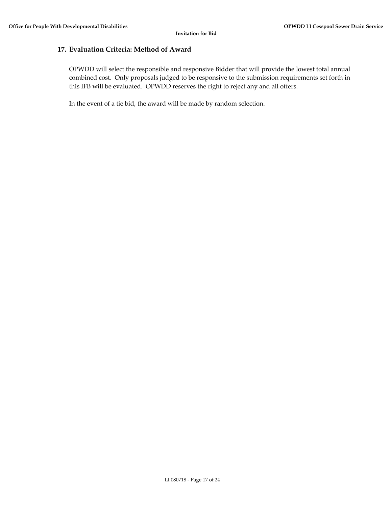#### **17. Evaluation Criteria: Method of Award**

OPWDD will select the responsible and responsive Bidder that will provide the lowest total annual combined cost. Only proposals judged to be responsive to the submission requirements set forth in this IFB will be evaluated. OPWDD reserves the right to reject any and all offers.

In the event of a tie bid, the award will be made by random selection.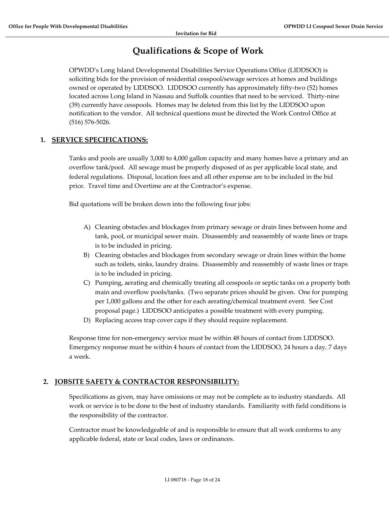### **Qualifications & Scope of Work**

OPWDD's Long Island Developmental Disabilities Service Operations Office (LIDDSOO) is soliciting bids for the provision of residential cesspool/sewage services at homes and buildings owned or operated by LIDDSOO. LIDDSOO currently has approximately fifty-two (52) homes located across Long Island in Nassau and Suffolk counties that need to be serviced. Thirty‐nine (39) currently have cesspools. Homes may be deleted from this list by the LIDDSOO upon notification to the vendor. All technical questions must be directed the Work Control Office at (516) 576‐5026.

#### **1. SERVICE SPECIFICATIONS:**

Tanks and pools are usually 3,000 to 4,000 gallon capacity and many homes have a primary and an overflow tank/pool. All sewage must be properly disposed of as per applicable local state, and federal regulations. Disposal, location fees and all other expense are to be included in the bid price. Travel time and Overtime are at the Contractor's expense.

Bid quotations will be broken down into the following four jobs:

- A) Cleaning obstacles and blockages from primary sewage or drain lines between home and tank, pool, or municipal sewer main. Disassembly and reassembly of waste lines or traps is to be included in pricing.
- B) Cleaning obstacles and blockages from secondary sewage or drain lines within the home such as toilets, sinks, laundry drains. Disassembly and reassembly of waste lines or traps is to be included in pricing.
- C) Pumping, aerating and chemically treating all cesspools or septic tanks on a property both main and overflow pools/tanks. (Two separate prices should be given. One for pumping per 1,000 gallons and the other for each aerating/chemical treatment event. See Cost proposal page.) LIDDSOO anticipates a possible treatment with every pumping.
- D) Replacing access trap cover caps if they should require replacement.

Response time for non‐emergency service must be within 48 hours of contact from LIDDSOO. Emergency response must be within 4 hours of contact from the LIDDSOO, 24 hours a day, 7 days a week.

#### **2. JOBSITE SAFETY & CONTRACTOR RESPONSIBILITY:**

Specifications as given, may have omissions or may not be complete as to industry standards. All work or service is to be done to the best of industry standards. Familiarity with field conditions is the responsibility of the contractor.

Contractor must be knowledgeable of and is responsible to ensure that all work conforms to any applicable federal, state or local codes, laws or ordinances.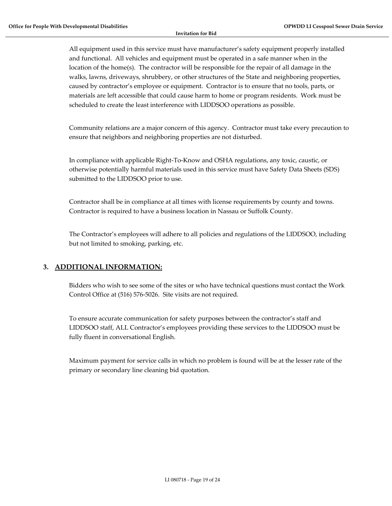All equipment used in this service must have manufacturer's safety equipment properly installed and functional. All vehicles and equipment must be operated in a safe manner when in the location of the home(s). The contractor will be responsible for the repair of all damage in the walks, lawns, driveways, shrubbery, or other structures of the State and neighboring properties, caused by contractor's employee or equipment. Contractor is to ensure that no tools, parts, or materials are left accessible that could cause harm to home or program residents. Work must be scheduled to create the least interference with LIDDSOO operations as possible.

Community relations are a major concern of this agency. Contractor must take every precaution to ensure that neighbors and neighboring properties are not disturbed.

In compliance with applicable Right‐To‐Know and OSHA regulations, any toxic, caustic, or otherwise potentially harmful materials used in this service must have Safety Data Sheets (SDS) submitted to the LIDDSOO prior to use.

Contractor shall be in compliance at all times with license requirements by county and towns. Contractor is required to have a business location in Nassau or Suffolk County.

The Contractor's employees will adhere to all policies and regulations of the LIDDSOO, including but not limited to smoking, parking, etc.

#### **3. ADDITIONAL INFORMATION:**

Bidders who wish to see some of the sites or who have technical questions must contact the Work Control Office at (516) 576‐5026. Site visits are not required.

To ensure accurate communication for safety purposes between the contractor's staff and LIDDSOO staff, ALL Contractor's employees providing these services to the LIDDSOO must be fully fluent in conversational English.

Maximum payment for service calls in which no problem is found will be at the lesser rate of the primary or secondary line cleaning bid quotation.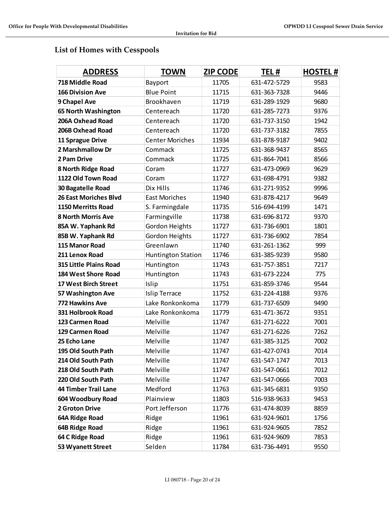### **List of Homes with Cesspools**

| <b>ADDRESS</b>               | <b>TOWN</b>            | <b>ZIP CODE</b> | TEL#         | <b>HOSTEL#</b> |
|------------------------------|------------------------|-----------------|--------------|----------------|
| 718 Middle Road              | Bayport                | 11705           | 631-472-5729 | 9583           |
| <b>166 Division Ave</b>      | <b>Blue Point</b>      | 11715           | 631-363-7328 | 9446           |
| 9 Chapel Ave                 | Brookhaven             | 11719           | 631-289-1929 | 9680           |
| 65 North Washington          | Centereach             | 11720           | 631-285-7273 | 9376           |
| 206A Oxhead Road             | Centereach             | 11720           | 631-737-3150 | 1942           |
| 206B Oxhead Road             | Centereach             | 11720           | 631-737-3182 | 7855           |
| 11 Sprague Drive             | <b>Center Moriches</b> | 11934           | 631-878-9187 | 9402           |
| 2 Marshmallow Dr             | Commack                | 11725           | 631-368-9437 | 8565           |
| 2 Pam Drive                  | Commack                | 11725           | 631-864-7041 | 8566           |
| 8 North Ridge Road           | Coram                  | 11727           | 631-473-0969 | 9629           |
| 1122 Old Town Road           | Coram                  | 11727           | 631-698-4791 | 9382           |
| 30 Bagatelle Road            | Dix Hills              | 11746           | 631-271-9352 | 9996           |
| <b>26 East Moriches Blvd</b> | <b>East Moriches</b>   | 11940           | 631-878-4217 | 9649           |
| <b>1150 Merritts Road</b>    | S. Farmingdale         | 11735           | 516-694-4199 | 1471           |
| <b>8 North Morris Ave</b>    | Farmingville           | 11738           | 631-696-8172 | 9370           |
| 85A W. Yaphank Rd            | Gordon Heights         | 11727           | 631-736-6901 | 1801           |
| 85B W. Yaphank Rd            | Gordon Heights         | 11727           | 631-736-6902 | 7854           |
| 115 Manor Road               | Greenlawn              | 11740           | 631-261-1362 | 999            |
| 211 Lenox Road               | Huntington Station     | 11746           | 631-385-9239 | 9580           |
| 315 Little Plains Road       | Huntington             | 11743           | 631-757-3851 | 7217           |
| 184 West Shore Road          | Huntington             | 11743           | 631-673-2224 | 775            |
| <b>17 West Birch Street</b>  | Islip                  | 11751           | 631-859-3746 | 9544           |
| 57 Washington Ave            | <b>Islip Terrace</b>   | 11752           | 631-224-4188 | 9376           |
| 772 Hawkins Ave              | Lake Ronkonkoma        | 11779           | 631-737-6509 | 9490           |
| 331 Holbrook Road            | Lake Ronkonkoma        | 11779           | 631-471-3672 | 9351           |
| 123 Carmen Road              | Melville               | 11747           | 631-271-6222 | 7001           |
| 129 Carmen Road              | Melville               | 11747           | 631-271-6226 | 7262           |
| 25 Echo Lane                 | Melville               | 11747           | 631-385-3125 | 7002           |
| 195 Old South Path           | Melville               | 11747           | 631-427-0743 | 7014           |
| 214 Old South Path           | Melville               | 11747           | 631-547-1747 | 7013           |
| 218 Old South Path           | Melville               | 11747           | 631-547-0661 | 7012           |
| 220 Old South Path           | Melville               | 11747           | 631-547-0666 | 7003           |
| <b>44 Timber Trail Lane</b>  | Medford                | 11763           | 631-345-6831 | 9350           |
| 604 Woodbury Road            | Plainview              | 11803           | 516-938-9633 | 9453           |
| <b>2 Groton Drive</b>        | Port Jefferson         | 11776           | 631-474-8039 | 8859           |
| 64A Ridge Road               | Ridge                  | 11961           | 631-924-9601 | 1756           |
| 64B Ridge Road               | Ridge                  | 11961           | 631-924-9605 | 7852           |
| 64 C Ridge Road              | Ridge                  | 11961           | 631-924-9609 | 7853           |
| 53 Wyanett Street            | Selden                 | 11784           | 631-736-4491 | 9550           |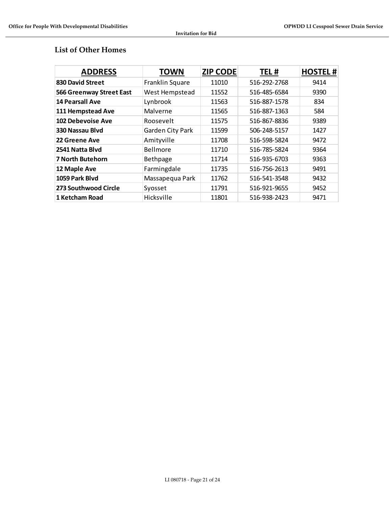#### **List of Other Homes**

| <b>ADDRESS</b>                  | <b>TOWN</b>      | <b>ZIP CODE</b> | TEL#         | <b>HOSTEL#</b> |
|---------------------------------|------------------|-----------------|--------------|----------------|
| 830 David Street                | Franklin Square  | 11010           | 516-292-2768 | 9414           |
| <b>566 Greenway Street East</b> | West Hempstead   | 11552           | 516-485-6584 | 9390           |
| <b>14 Pearsall Ave</b>          | Lynbrook         | 11563           | 516-887-1578 | 834            |
| 111 Hempstead Ave               | Malverne         | 11565           | 516-887-1363 | 584            |
| 102 Debevoise Ave               | Roosevelt        | 11575           | 516-867-8836 | 9389           |
| 330 Nassau Blvd                 | Garden City Park | 11599           | 506-248-5157 | 1427           |
| 22 Greene Ave                   | Amityville       | 11708           | 516-598-5824 | 9472           |
| 2541 Natta Blyd                 | Bellmore         | 11710           | 516-785-5824 | 9364           |
| <b>7 North Butehorn</b>         | Bethpage         | 11714           | 516-935-6703 | 9363           |
| 12 Maple Ave                    | Farmingdale      | 11735           | 516-756-2613 | 9491           |
| 1059 Park Blvd                  | Massapequa Park  | 11762           | 516-541-3548 | 9432           |
| 273 Southwood Circle            | Syosset          | 11791           | 516-921-9655 | 9452           |
| 1 Ketcham Road                  | Hicksville       | 11801           | 516-938-2423 | 9471           |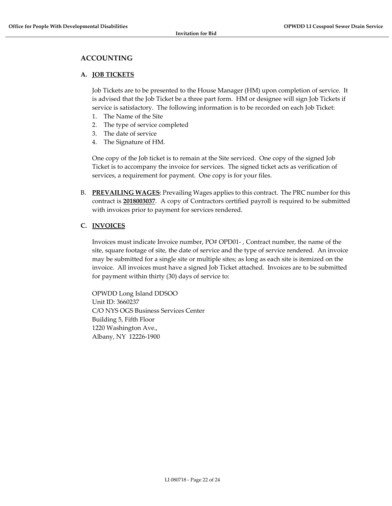#### **ACCOUNTING**

#### **A. JOB TICKETS**

Job Tickets are to be presented to the House Manager (HM) upon completion of service. It is advised that the Job Ticket be a three part form. HM or designee will sign Job Tickets if service is satisfactory. The following information is to be recorded on each Job Ticket:

- 1. The Name of the Site
- 2. The type of service completed
- 3. The date of service
- 4. The Signature of HM.

One copy of the Job ticket is to remain at the Site serviced. One copy of the signed Job Ticket is to accompany the invoice for services. The signed ticket acts as verification of services, a requirement for payment. One copy is for your files.

B. **PREVAILING WAGES**: Prevailing Wages applies to this contract. The PRC number for this contract is **2018003037**. A copy of Contractors certified payroll is required to be submitted with invoices prior to payment for services rendered.

#### **C. INVOICES**

Invoices must indicate Invoice number, PO# OPD01‐ , Contract number, the name of the site, square footage of site, the date of service and the type of service rendered. An invoice may be submitted for a single site or multiple sites; as long as each site is itemized on the invoice. All invoices must have a signed Job Ticket attached. Invoices are to be submitted for payment within thirty (30) days of service to:

OPWDD Long Island DDSOO Unit ID: 3660237 C/O NYS OGS Business Services Center Building 5, Fifth Floor 1220 Washington Ave., Albany, NY 12226‐1900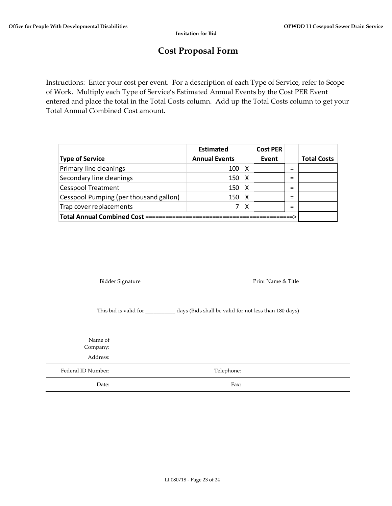## **Cost Proposal Form**

Instructions: Enter your cost per event. For a description of each Type of Service, refer to Scope of Work. Multiply each Type of Service's Estimated Annual Events by the Cost PER Event entered and place the total in the Total Costs column. Add up the Total Costs column to get your Total Annual Combined Cost amount.

|                                        | Estimated            |   | <b>Cost PER</b> |     |                    |
|----------------------------------------|----------------------|---|-----------------|-----|--------------------|
| <b>Type of Service</b>                 | <b>Annual Events</b> |   | Event           |     | <b>Total Costs</b> |
| Primary line cleanings                 | 100                  | х |                 | $=$ |                    |
| Secondary line cleanings               | 150                  | X |                 | $=$ |                    |
| <b>Cesspool Treatment</b>              | 150                  | х |                 | $=$ |                    |
| Cesspool Pumping (per thousand gallon) | 150                  | X |                 | $=$ |                    |
| Trap cover replacements                |                      | Χ |                 | $=$ |                    |
| <b>Total Annual Combined Cost =</b>    |                      |   |                 |     |                    |

Bidder Signature **Bidder** Signature  **Print Name & Title** 

This bid is valid for \_\_\_\_\_\_\_\_\_\_\_ days (Bids shall be valid for not less than 180 days)

Name of Company:

Address:

Federal ID Number: Telephone:

Date: Fax: